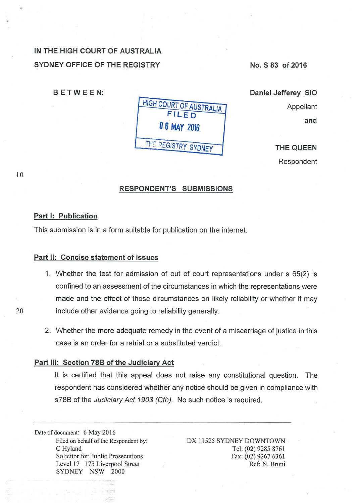# IN THE HIGH COURT OF AUSTRALIA SYDNEY OFFICE OF THE REGISTRY

BETWEEN:



No. S 83 of 2016

Daniel Jefferey SIO Appellant and

> THE QUEEN Respondent

10

## RESPONDENT'S SUBMISSIONS

#### Part 1: Publication

This submission is in a form suitable for publication on the internet.

## Part 11: Concise statement of issues

- 1. Whether the test for admission of out of court representations under s 65(2) is confined to an assessment of the circumstances in which the representations were made and the effect of those circumstances on likely reliability or whether it may 20 include other evidence going to reliability generally.
	- 2. Whether the more adequate remedy in the event of a miscarriage of justice in this case is an order for a retrial or a substituted verdict.

## Part Ill: Section 788 of the Judiciary Act

lt is certified that this appeal does not raise any constitutional question. The respondent has considered whether any notice should be given in compliance with s78B of the Judiciary Act 1903 (Cth). No such notice is required.

Date of document: 6 May 2016 Filed on behalf of the Respondent by: C Hyland Solicitor for Public Prosecutions Level 17 175 Liverpool Street SYDNEY NSW 2000

DX 11525 SYDNEY DOWNTOWN · Tel: (02) 9285 8761 Fax: (02) 9267 6361 Ref: N. Bruni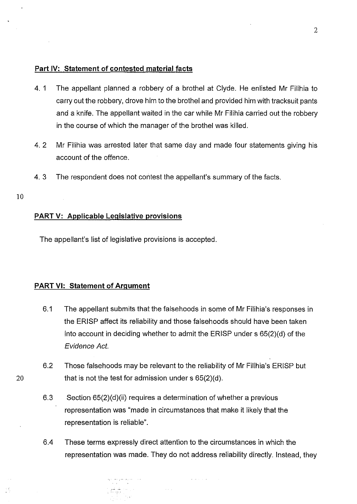## **Part IV: Statement of contested material facts**

- 4. 1 The appellant planned a robbery of a brothel at Clyde. He enlisted Mr Filihia to carry out the robbery, drove him to the brothel and provided him with tracksuit pants and a knife. The appellant waited in the car while Mr Filihia carried out the robbery in the course of which the manager of the brothel was killed.
- 4. 2 Mr Filihia was arrested later that same day and made four statements giving his account of the offence.
- 4. 3 The respondent does not contest the appellant's summary of the facts.

#### 10

适

## **PART V: Applicable Legislative provisions**

The appellant's list of legislative provisions is accepted.

## **PART VI: Statement of Argument**

- 6.1 The appellant submits that the falsehoods in some of Mr Filihia's responses in the ERISP affect its reliability and those falsehoods should have been taken into account in deciding whether to admit the ERISP under s 65(2)(d) of the Evidence Act.
- 6.2 Those falsehoods may be relevant to the reliability of Mr Filihia's ERISP but 20 that is not the test for admission under  $s$  65(2)(d).
	- 6.3 Section 65(2)(d)(ii) requires a determination of whether a previous representation was "made in circumstances that make it likely that the representation is reliable".
	- 6.4 These terms expressly direct attention to the circumstances in which the representation was made. They do not address reliability directly. Instead, they

 $\omega$  , and  $\omega$  , and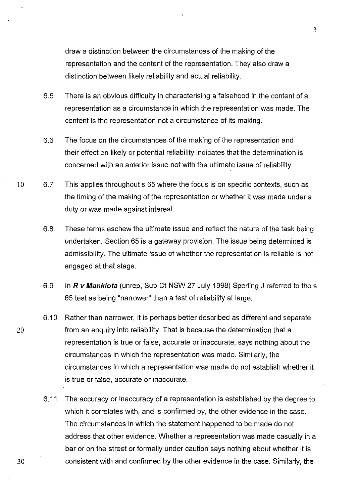draw a distinction between the circumstances of the making of the representation and the content of the representation. They also draw a distinction between likely reliability and actual reliability.

- 6.5 There is an obvious difficulty in characterising a falsehood in the content of a representation as a circumstance in which the representation was made. The content is the representation not a circumstance of its making.
- 6.6 The focus on the circumstances of the making of the representation and their effect on likely or potential reliability indicates that the determination is concerned with an anterior issue not with the ultimate issue of reliability.
- 10 6.7 This applies throughout s 65 where the focus is on specific contexts, such as the timing of the making of the representation or whether it was made under a duty or was made against interest.
	- 6.8 These terms eschew the ultimate issue and reflect the nature of the task being undertaken. Section 65 is a gateway provision. The issue being determined is admissibility. The ultimate issue of whether the representation is reliable is not engaged at that stage.
	- 6.9 In **R** *v* **Mankiota** (unrep, Sup Ct NSW 27 July 1998) Sperling J referred to the s 65 test as being "narrower" than a test of reliability at large.
	- 6.10 Rather than narrower, it is perhaps better described as different and separate from an enquiry into reliability. That is because the determination that a representation is true or false, accurate or inaccurate, says nothing about the circumstances in which the representation was made. Similarly, the circumstances in which a representation was made do not establish whether it is true or false, accurate or inaccurate.
		- 6.11 The accuracy or inaccuracy of a representation is established by the degree to which it correlates with, and is confirmed by, the other evidence in the case. The circumstances in which the statement happened to be made do not address that other evidence. Whether a representation was made casually in a bar or on the street or formally under caution says nothing about whether it is consistent with and confirmed by the other evidence in the case. Similarly, the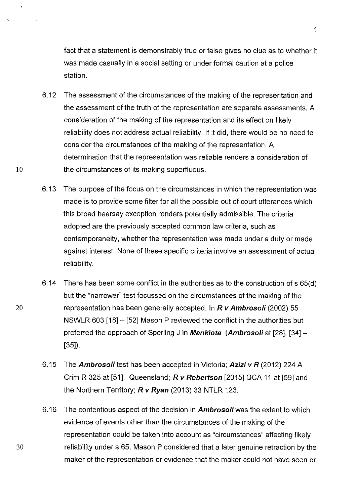fact that a statement is demonstrably true or false gives no clue as to whether it was made casually in a social setting or under formal caution at a police station.

- 6.12 The assessment of the circumstances of the making of the representation and the assessment of the truth of the representation are separate assessments. A consideration of the making of the representation and its effect on likely reliability does not address actual reliability. If it did, there would be no need to consider the circumstances of the making of the representation. A determination that the representation was reliable renders a consideration of 10 the circumstances of its making superfluous.
	- 6.13 The purpose of the focus on the circumstances in which the representation was made is to provide some filter for all the possible out of court utterances which this broad hearsay exception renders potentially admissible. The criteria adopted are the previously accepted common law criteria, such as contemporaneity, whether the representation was made under a duty or made against interest. None of these specific criteria involve an assessment of actual reliability.
	- 6.14 There has been some conflict in the authorities as to the construction of s 65(d) but the "narrower" test focussed on the circumstances of the making of the representation has been generally accepted. In **R v Ambrosoli** (2002) 55 NSWLR 603 [18]- [52] Mason P reviewed the conflict in the authorities but preferred the approach of Sperling J in **Mankiota (Ambrosoli** at [28], [34]- [35]).
	- 6.15 The **Ambrosoli** test has been accepted in Victoria; **Azizi v R** (2012) 224 A Crim R 325 at [51], Queensland; **R v Robertson** [2015] QCA 11 at [59] and the Northern Territory; **R v Ryan** (2013) 33 NTLR 123.
	- 6.16 The contentious aspect of the decision in **Ambroso/i** was the extent to which evidence of events other than the circumstances of the making of the representation could be taken into account as "circumstances" affecting likely reliability under s 65. Mason P considered that a later genuine retraction by the maker of the representation or evidence that the maker could not have seen or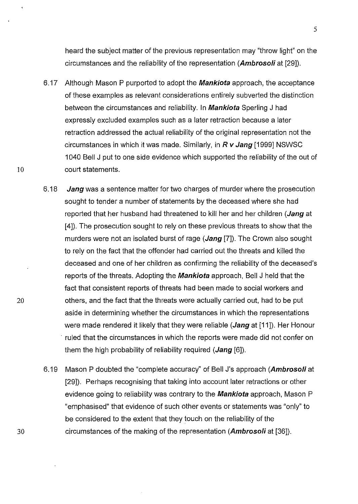heard the subject matter of the previous representation may "throw light" on the circumstances and the reliability of the representation **(Ambrosoli** at [29]).

- 6.17 Although Mason P purported to adopt the **Mankiota** approach, the acceptance of these examples as relevant considerations entirely subverted the distinction between the circumstances and reliability. In **Mankiota** Sperling J had expressly excluded examples such as a later retraction because a later retraction addressed the actual reliability of the original representation not the circumstances in which it was made. Similarly, in **R v Jang** [1999] NSWSC 1040 Bell J put to one side evidence which supported the reliability of the out of 10 court statements.
	- 6.18 **Jang** was a sentence matter for two charges of murder where the prosecution sought to tender a number of statements by the deceased where she had reported that her husband had threatened to kill her and her children **(Jang** at [4]). The prosecution sought to rely on these previous threats to show that the murders were not an isolated burst of rage **(Jang** [7]). The Crown also sought to rely on the fact that the offender had carried out the threats and killed the deceased and one of her children as confirming the reliability of the deceased's reports of the threats. Adopting the **Mankiota** approach, Bell J held that the fact that consistent reports of threats had been made to social workers and others, and the fact that the threats were actually carried out, had to be put aside in determining whether the circumstances in which the representations were made rendered it likely that they were reliable **(Jang** at [11 ]). Her Honour ruled that the circumstances in which the reports were made did not confer on them the high probability of reliability required **(Jang** [6]).
	- 6.19 Mason P doubted the "complete accuracy'' of Bell J's approach **(Ambroso/i** at [29]). Perhaps recognising that taking into account later retractions or other evidence going to reliability was contrary to the **Mankiota** approach, Mason P "emphasised" that evidence of such other events or statements was "only" to be considered to the extent that they touch on the reliability of the circumstances of the making of the representation **(Ambrosoli** at [36]).

20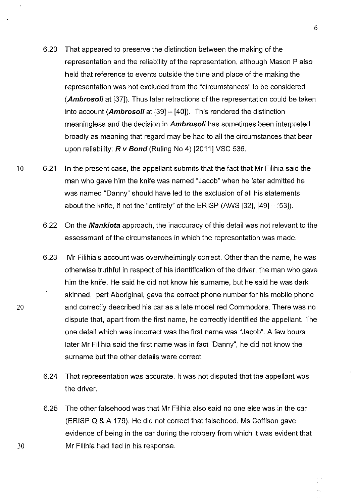- 6.20 That appeared to preserve the distinction between the making of the representation and the reliability of the representation, although Mason P also held that reference to events outside the time and place of the making the representation was not excluded from the "circumstances" to be considered **(Ambrosoli** at [37]). Thus later retractions of the representation could be taken into account **(Ambrosoli** at [39]- [40]). This rendered the distinction meaningless and the decision in **Ambrosoli** has sometimes been interpreted broadly as meaning that regard may be had to all the circumstances that bear upon reliability: **R** *v* **Bond** (Ruling No 4) [2011] VSC 536.
- 10 6.21 In the present case, the appellant submits that the fact that Mr Filihia said the man who gave him the knife was named "Jacob" when he later admitted he was named "Danny" should have led to the exclusion of all his statements about the knife, if not the "entirety" of the ERISP (AWS  $[32]$ ,  $[49] - [53]$ ).
	- 6.22 On the **Mankiota** approach, the inaccuracy of this detail was not relevant to the assessment of the circumstances in which the representation was made.
	- 6.23 Mr Filihia's account was overwhelmingly correct. Other than the name, he was otherwise truthful in respect of his identification of the driver, the man who gave him the knife. He said he did not know his surname, but he said he was dark skinned, part Aboriginal, gave the correct phone number for his mobile phone and correctly described his car as a late model red Commodore. There was no dispute that, apart from the first name, he correctly identified the appellant. The one detail which was incorrect was the first name was "Jacob". A few hours later Mr Filihia said the first name was in fact "Danny", he did not know the surname but the other details were correct.
	- 6.24 That representation was accurate. lt was not disputed that the appellant was the driver.
	- 6.25 The other falsehood was that Mr Filihia also said no one else was in the car (ERISP Q & A 179). He did not correct that falsehood. Ms Coffison gave evidence of being in the car during the robbery from which it was evident that Mr Filihia had lied in his response.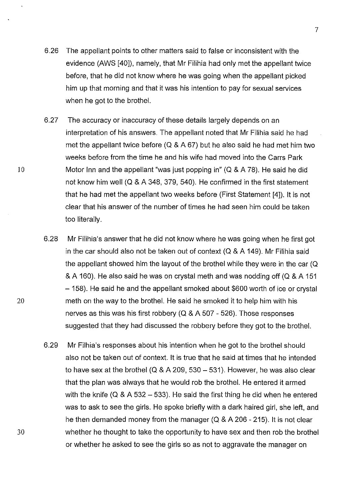- 6.26 The appellant points to other matters said to false or inconsistent with the evidence (AWS [40]), namely, that Mr Filihia had only met the appellant twice before, that he did not know where he was going when the appellant picked him up that morning and that it was his intention to pay for sexual services when he got to the brothel.
- 6.27 The accuracy or inaccuracy of these details largely depends on an interpretation of his answers. The appellant noted that Mr Filihia said he had met the appellant twice before (Q & A 67) but he also said he had met him two weeks before from the time he and his wife had moved into the Carrs Park Motor Inn and the appellant "was just popping in" (Q & A 78). He said he did not know him well (Q & A 348, 379, 540). He confirmed in the first statement that he had met the appellant two weeks before (First Statement [4]). lt is not clear that his answer of the number of times he had seen him could be taken too literally.
- 6.28 Mr Filihia's answer that he did not know where he was going when he first got in the car should also not be taken out of context (Q & A 149). Mr Filihia said the appellant showed him the layout of the brothel while they were in the car (Q & A 160). He also said he was on crystal meth and was nodding off (Q & A 151 -158). He said he and the appellant smoked about \$600 worth of ice or crystal meth on the way to the brothel. He said he smoked it to help him with his nerves as this was his first robbery (Q & A 507- 526). Those responses suggested that they had discussed the robbery before they got to the brothel.
- 6.29 Mr Filhia's responses about his intention when he got to the brothel should also not be taken out of context. lt is true that he said at times that he intended to have sex at the brothel (Q & A 209, 530- 531). However, he was also clear that the plan was always that he would rob the brothel. He entered it armed with the knife ( $Q \& A 532 - 533$ ). He said the first thing he did when he entered was to ask to see the girls. He spoke briefly with a dark haired girl, she left, and he then demanded money from the manager (Q & A 206- 215). lt is not clear whether he thought to take the opportunity to have sex and then rob the brothel or whether he asked to see the girls so as not to aggravate the manager on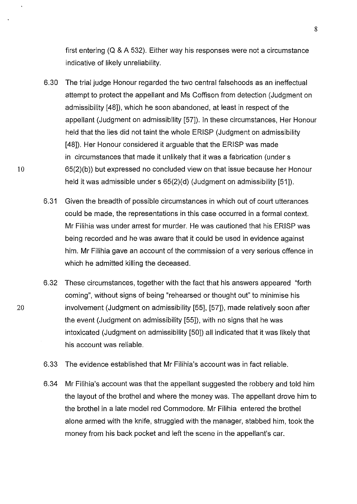first entering (Q & A 532). Either way his responses were not a circumstance indicative of likely unreliability.

- 6.30 The trial judge Honour regarded the two central falsehoods as an ineffectual attempt to protect the appellant and Ms Coffison from detection (Judgment on admissibility [48]), which he soon abandoned, at least in respect of the appellant (Judgment on admissibility [57]). In these circumstances, Her Honour held that the lies did not taint the whole ERISP (Judgment on admissibility [48]). Her Honour considered it arguable that the ERISP was made in circumstances that made it unlikely that it was a fabrication (under s 10 65(2)(b)) but expressed no concluded view on that issue because her Honour held it was admissible under s 65(2)(d) (Judgment on admissibility [51]).
	- 6.31 Given the breadth of possible circumstances in which out of court utterances could be made, the representations in this case occurred in a formal context. Mr Filihia was under arrest for murder. He was cautioned that his ERISP was being recorded and he was aware that it could be used in evidence against him. Mr Filihia gave an account of the commission of a very serious offence in which he admitted killing the deceased.
	- 6.32 These circumstances, together with the fact that his answers appeared "forth coming", without signs of being "rehearsed or thought out" to minimise his involvement (Judgment on admissibility [55], [57]), made relatively soon after the event (Judgment on admissibility [55]), with no signs that he was intoxicated (Judgment on admissibility [50]) all indicated that it was likely that his account was reliable.
	- 6.33 The evidence established that Mr Filihia's account was in fact reliable.
	- 6.34 Mr Filihia's account was that the appellant suggested the robbery and told him the layout of the brothel and where the money was. The appellant drove him to the brothel in a late model red Commodore. Mr Filihia entered the brothel alone armed with the knife, struggled with the manager, stabbed him, took the money from his back pocket and left the scene in the appellant's car.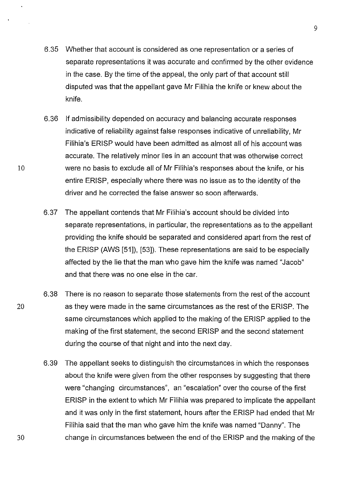- 6.35 Whether that account is considered as one representation or a series of separate representations it was accurate and confirmed by the other evidence in the case. By the time of the appeal, the only part of that account still disputed was that the appellant gave Mr Filihia the knife or knew about the knife.
- 6.36 If admissibility depended on accuracy and balancing accurate responses indicative of reliability against false responses indicative of unreliability, Mr Filihia's ERISP would have been admitted as almost all of his account was accurate. The relatively minor lies in an account that was otherwise correct were no basis to exclude all of Mr Filihia's responses about the knife, or his entire ERISP, especially where there was no issue as to the identity of the driver and he corrected the false answer so soon afterwards.
- 6.37 The appellant contends that Mr Filihia's account should be divided into separate representations, in particular, the representations as to the appellant providing the knife should be separated and considered apart from the rest of the ERISP (AWS [51]), [53]). These representations are said to be especially affected by the lie that the man who gave him the knife was named "Jacob" and that there was no one else in the car.
- 6.38 There is no reason to separate those statements from the rest of the account 20 as they were made in the same circumstances as the rest of the ERISP. The same circumstances which applied to the making of the ERISP applied to the making of the first statement, the second ERISP and the second statement during the course of that night and into the next day.
	- 6.39 The appellant seeks to distinguish the circumstances in which the responses about the knife were given from the other responses by suggesting that there were "changing circumstances", an "escalation" over the course of the first ERISP in the extent to which Mr Filihia was prepared to implicate the appellant and it was only in the first statement, hours after the ERISP had ended that Mr Filihia said that the man who gave him the knife was named "Danny". The change in circumstances between the end of the ERISP and the making of the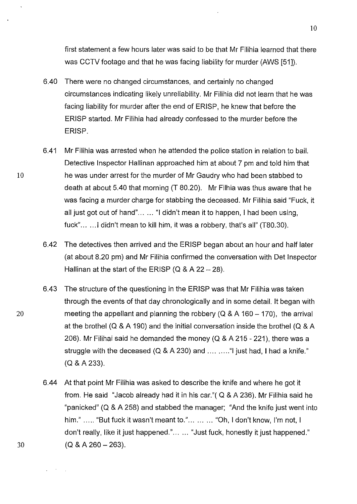first statement a few hours later was said to be that Mr Filihia learned that there was CCTV footage and that he was facing liability for murder (AWS [51]).

- 6.40 There were no changed circumstances, and certainly no changed circumstances indicating likely unreliability. Mr Filihia did not learn that he was facing liability for murder after the end of ERISP, he knew that before the ERISP started. Mr Filihia had already confessed to the murder before the ERISP.
- 6.41 Mr Filihia was arrested when he attended the police station in relation to bail. Detective Inspector Hallinan approached him at about 7 pm and told him that he was under arrest for the murder of Mr Gaudry who had been stabbed to death at about 5.40 that morning (T 80.20). Mr Filhia was thus aware that he was facing a murder charge for stabbing the deceased. Mr Filihia said "Fuck, it all just got out of hand"... ... "I didn't mean it to happen, I had been using, fuck"...... 1 didn't mean to kill him, it was a robbery, that's all" (T80.30).
- 6.42 The detectives then arrived and the ERISP began about an hour and half later (at about 8.20 pm) and Mr Filihia confirmed the conversation with Det Inspector Hallinan at the start of the ERISP (Q & A  $22 - 28$ ).
- 6.43 The structure of the questioning in the ERISP was that Mr Filihia was taken through the events of that day chronologically and in some detail. lt began with meeting the appellant and planning the robbery ( $Q & A 160 - 170$ ), the arrival at the brothel (Q & A 190) and the initial conversation inside the brothel (Q & A 206). Mr Filihai said he demanded the money (Q & A 215- 221), there was a struggle with the deceased  $(Q & A 230)$  and  $\dots \dots$  "I just had, I had a knife." (Q & A 233).
- 6.44 At that point Mr Filihia was asked to describe the knife and where he got it from. He said "Jacob already had it in his car."( Q & A 236). Mr Filihia said he "panicked" (Q & A 258) and stabbed the manager; "And the knife just went into him." ..... "But fuck it wasn't meant to." ... ... ... "Oh, I don't know, I'm not, I don't really, like it just happened."... ... "Just fuck, honestly it just happened."  $(Q & A 260 - 263)$ .

20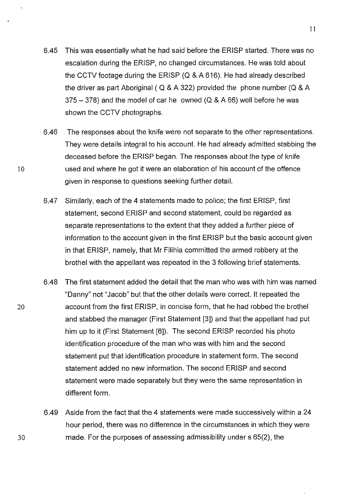- 6.45 This was essentially what he had said before the ERISP started. There was no escalation during the ERISP, no changed circumstances. He was told about the CCTV footage during the ERISP (Q & A 616). He had already described the driver as part Aboriginal ( Q & A 322) provided the phone number (Q & A  $375 - 378$ ) and the model of car he owned (Q & A 66) well before he was shown the CCTV photographs.
- 6.46 The responses about the knife were not separate to the other representations. They were details integral to his account. He had already admitted stabbing the deceased before the ERISP began. The responses about the type of knife used and where he got it were an elaboration of his account of the offence given in response to questions seeking further detail.
- 6.47 Similarly, each of the 4 statements made to police; the first ERISP, first statement, second ERISP and second statement, could be regarded as separate representations to the extent that they added a further piece of information to the account given in the first ERISP but the basic account given in that ERISP, namely, that Mr Filihia committed the armed robbery at the brothel with the appellant was repeated in the 3 following brief statements.
- 6.48 The first statement added the detail that the man who was with him was named "Danny" not "Jacob" but that the other details were correct. lt repeated the account from the first ERISP, in concise form, that he had robbed the brothel and stabbed the manager (First Statement [3]) and that the appellant had put him up to it (First Statement [6]). The second ERISP recorded his photo identification procedure of the man who was with him and the second statement put that identification procedure in statement form. The second statement added no new information. The second ERISP and second statement were made separately but they were the same representation in different form.
	- 6.49 Aside from the fact that the 4 statements were made successively within a 24 hour period, there was no difference in the circumstances in which they were made. For the purposes of assessing admissibility under s 65(2), the

10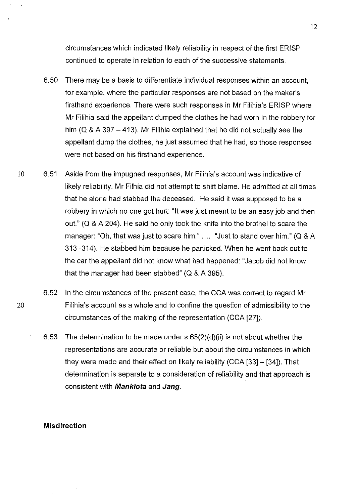circumstances which indicated likely reliability in respect of the first ERISP continued to operate in relation to each of the successive statements.

- 6.50 There may be a basis to differentiate individual responses within an account, for example, where the particular responses are not based on the maker's firsthand experience. There were such responses in Mr Filihia's ERISP where Mr Filihia said the appellant dumped the clothes he had worn in the robbery for him ( $Q$  & A 397 - 413). Mr Filihia explained that he did not actually see the appellant dump the clothes, he just assumed that he had, so those responses were not based on his firsthand experience.
- 10 6.51 Aside from the impugned responses, Mr Filihia's account was indicative of likely reliability. Mr Filhia did not attempt to shift blame. He admitted at all times that he alone had stabbed the deceased. He said it was supposed to be a robbery in which no one got hurt: "lt was just meant to be an easy job and then out." (Q & A 204). He said he only took the knife into the brothel to scare the manager: "Oh, that was just to scare him." .... "Just to stand over him." (Q & A 313 -314). He stabbed him because he panicked. When he went back out to the car the appellant did not know what had happened: "Jacob did not know that the manager had been stabbed" (Q & A 395).
	- 6.52 In the circumstances of the present case, the CCA was correct to regard Mr Filihia's account as a whole and to confine the question of admissibility to the circumstances of the making of the representation (CCA [27]).
		- 6.53 The determination to be made under s 65(2)(d)(ii) is not about whether the representations are accurate or reliable but about the circumstances in which they were made and their effect on likely reliability (CCA [33]- [34]). That determination is separate to a consideration of reliability and that approach is consistent with **Mankiota** and **Jang.**

## **Misdirection**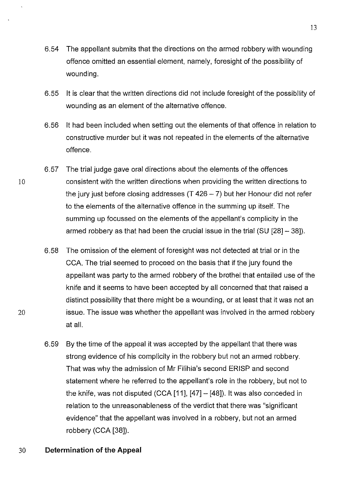- 6.54 The appellant submits that the directions on the armed robbery with wounding offence omitted an essential element, namely, foresight of the possibility of wounding.
- 6.55 lt is clear that the written directions did not include foresight of the possibility of wounding as an element of the alternative offence.
- 6.56 lt had been included when setting out the elements of that offence in relation to constructive murder but it was not repeated in the elements of the alternative offence.
- 6.57 The trial judge gave oral directions about the elements of the offences consistent with the written directions when providing the written directions to the jury just before closing addresses  $(T 426 - 7)$  but her Honour did not refer to the elements of the alternative offence in the summing up itself. The summing up focussed on the elements of the appellant's complicity in the armed robbery as that had been the crucial issue in the trial (SU [28]- 38]).
- 6.58 The omission of the element of foresight was not detected at trial or in the CCA. The trial seemed to proceed on the basis that if the jury found the appellant was party to the armed robbery of the brothel that entailed use of the knife and it seems to have been accepted by all concerned that that raised a distinct possibility that there might be a wounding, or at least that it was not an issue. The issue was whether the appellant was involved in the armed robbery at all.
- 6.59 By the time of the appeal it was accepted by the appellant that there was strong evidence of his complicity in the robbery but not an armed robbery. That was why the admission of Mr Filihia's second ERISP and second statement where he referred to the appellant's role in the robbery, but not to the knife, was not disputed (CCA [11], [47]- [48]). lt was also conceded in relation to the unreasonableness of the verdict that there was "significant evidence" that the appellant was involved in a robbery, but not an armed robbery (CCA [38]).

## 30 **Determination of the Appeal**

10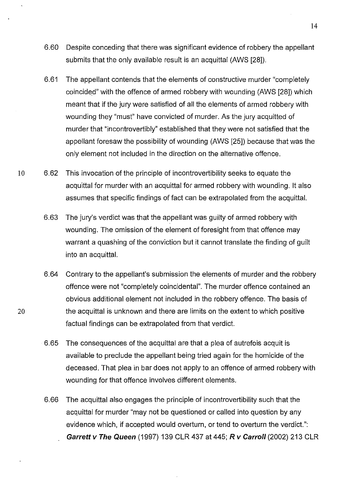- 6.60 Despite conceding that there was significant evidence of robbery the appellant submits that the only available result is an acquittal (AWS [28]).
- 6.61 The appellant contends that the elements of constructive murder "completely coincided" with the offence of armed robbery with wounding (AWS [28]) which meant that if the jury were satisfied of all the elements of armed robbery with wounding they "must" have convicted of murder. As the jury acquitted of murder that "incontrovertibly" established that they were not satisfied that the appellant foresaw the possibility of wounding (AWS [25]) because that was the only element not included in the direction on the alternative offence.
- 10 6.62 This invocation of the principle of incontrovertibility seeks to equate the acquittal for murder with an acquittal for armed robbery with wounding. it also assumes that specific findings of fact can be extrapolated from the acquittal.
	- 6.63 The jury's verdict was that the appellant was guilty of armed robbery with wounding. The omission of the element of foresight from that offence may warrant a quashing of the conviction but it cannot translate the finding of guilt into an acquittal.
	- 6.64 Contrary to the appellant's submission the elements of murder and the robbery offence were not "completely coincidental". The murder offence contained an obvious additional element not included in the robbery offence. The basis of the acquittal is unknown and there are limits on the extent to which positive factual findings can be extrapolated from that verdict.
	- 6.65 The consequences of the acquittal are that a plea of autrefois acquit is available to preclude the appellant being tried again for the homicide of the deceased. That plea in bar does not apply to an offence of armed robbery with wounding for that offence involves different elements.
	- 6.66 The acquittal also engages the principle of incontrovertibility such that the acquittal for murder "may not be questioned or called into question by any evidence which, if accepted would overturn, or tend to overturn the verdict.": **Garrett v The Queen** (1997) 139 CLR 437 at 445; **R v Carro/1** (2002) 213 CLR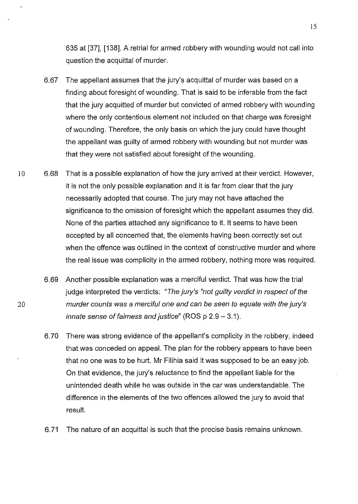635 at [37], [138]. A retrial for armed robbery with wounding would not call into question the acquittal of murder.

- 6.67 The appellant assumes that the jury's acquittal of murder was based on a finding about foresight of wounding. That is said to be inferable from the fact that the jury acquitted of murder but convicted of armed robbery with wounding where the only contentious element not included on that charge was foresight of wounding. Therefore, the only basis on which the jury could have thought the appellant was guilty of armed robbery with wounding but not murder was that they were not satisfied about foresight of the wounding.
- 10 6.68 That is a possible explanation of how the jury arrived at their verdict. However, it is not the only possible explanation and it is far from clear that the jury necessarily adopted that course. The jury may not have attached the significance to the omission of foresight which the appellant assumes they did. None of the parties attached any significance to it. lt seems to have been accepted by all concerned that, the elements having been correctly set out when the offence was outlined in the context of constructive murder and where the real issue was complicity in the armed robbery, nothing more was required.
	- 6.69 Another possible explanation was a merciful verdict. That was how the trial judge interpreted the verdicts: "The jury's "not guilty verdict in respect of the murder counts was a merciful one and can be seen to equate with the jury's innate sense of fairness and justice" (ROS  $p 2.9 - 3.1$ ).
	- 6. 70 There was strong evidence of the appellant's complicity in the robbery, indeed that was conceded on appeal. The plan for the robbery appears to have been that no one was to be hurt. Mr Filihia said it was supposed to be an easy job. On that evidence, the jury's reluctance to find the appellant liable for the unintended death while he was outside in the car was understandable. The difference in the elements of the two offences allowed the jury to avoid that result.
	- 6.71 The nature of an acquittal is such that the precise basis remains unknown.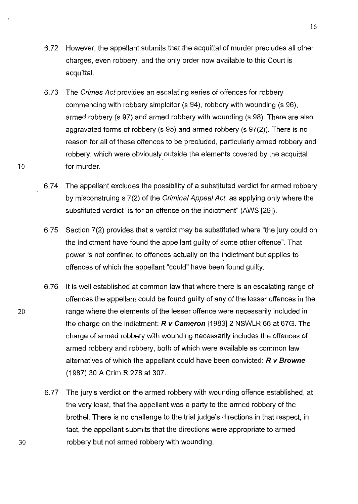- 6.72 However, the appellant submits that the acquittal of murder precludes all other charges, even robbery, and the only order now available to this Court is acquittal.
- 6.73 The Crimes Act provides an escalating series of offences for robbery commencing with robbery simplciter (s 94), robbery with wounding (s 96), armed robbery (s 97) and armed robbery with wounding (s 98). There are also aggravated forms of robbery (s 95) and armed robbery (s 97(2)). There is no reason for all of these offences to be precluded, particularly armed robbery and robbery, which were obviously outside the elements covered by the acquittal 10 for murder.
	- 6.74 The appellant excludes the possibility of a substituted verdict for armed robbery by misconstruing s 7(2) of the Criminal Appeal Act as applying only where the substituted verdict "is for an offence on the indictment" (AWS [29]).
	- 6.75 Section 7(2) provides that a verdict may be substituted where "the jury could on the indictment have found the appellant guilty of some other offence". That power is not confined to offences actually on the indictment but applies to offences of which the appellant "could" have been found guilty.
	- 6.76 lt is well established at common law that where there is an escalating range of offences the appellant could be found guilty of any of the lesser offences in the range where the elements of the lesser offence were necessarily included in the charge on the indictment: **R** *v* **Cameron** [1983] 2 NSWLR 66 at 67G. The charge of armed robbery with wounding necessarily includes the offences of armed robbery and robbery, both of which were available as common law alternatives of which the appellant could have been convicted: **R v Browne**  (1987) 30 A Grim R 278 at 307.
	- 6.77 The jury's verdict on the armed robbery with wounding offence established, at the very least, that the appellant was a party to the armed robbery of the brothel. There is no challenge to the trial judge's directions in that respect, in fact, the appellant submits that the directions were appropriate to armed robbery but not armed robbery with wounding.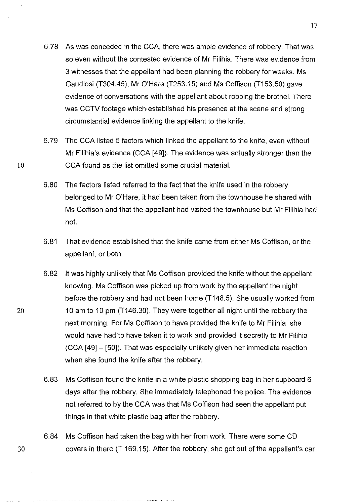- 6.78 As was conceded in the CCA, there was ample evidence of robbery. That was so even without the contested evidence of Mr Filihia. There was evidence from 3 witnesses that the appellant had been planning the robbery for weeks. Ms Gaudiosi (T304.45), Mr O'Hare (T253.15) and Ms Coffison (T153.50) gave evidence of conversations with the appellant about robbing the brothel. There was CCTV footage which established his presence at the scene and strong circumstantial evidence linking the appellant to the knife.
- 6.79 The CCA listed 5 factors which linked the appellant to the knife, even without Mr Filihia's evidence (CCA [49]). The evidence was actually stronger than the CCA found as the list omitted some crucial material.
- 6.80 The factors listed referred to the fact that the knife used in the robbery belonged to Mr O'Hare, it had been taken from the townhouse he shared with Ms Coffison and that the appellant had visited the townhouse but Mr Filihia had not.
- 6.81 That evidence established that the knife came from either Ms Coffison, or the appellant, or both.
- 6.82 it was highly unlikely that Ms Coffison provided the knife without the appellant knowing. Ms Coffison was picked up from work by the appellant the night before the robbery and had not been home (T148.5). She usually worked from 10 am to 10 pm (T146.30). They were together all night until the robbery the next morning. For Ms Coffison to have provided the knife to Mr Filihia she would have had to have taken it to work and provided it secretly to Mr Filihia (CCA [49] - [50]). That was especially unlikely given her immediate reaction when she found the knife after the robbery.
- 6.83 Ms Coffison found the knife in a white plastic shopping bag in her cupboard 6 days after the robbery. She immediately telephoned the police. The evidence not referred to by the CCA was that Ms Coffison had seen the appellant put things in that white plastic bag after the robbery.
- 6.84 Ms Coffison had taken the bag with her from work. There were some CD 30 covers in there (T 169.15). After the robbery, she got out of the appellant's car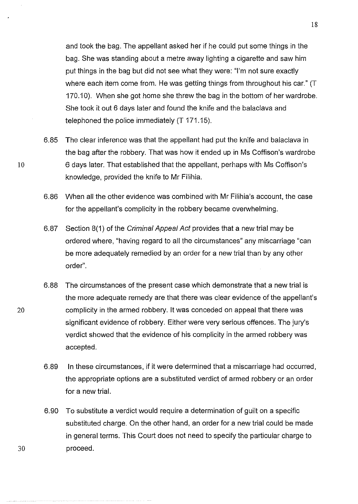and took the bag. The appellant asked her if he could put some things in the bag. She was standing about a metre away lighting a cigarette and saw him put things in the bag but did not see what they were: "I'm not sure exactly where each item come from. He was getting things from throughout his car." (T 170.10). When she got home she threw the bag in the bottom of her wardrobe. She took it out 6 days later and found the knife and the balaclava and telephoned the police immediately (T 171.15).

- 6.85 The clear inference was that the appellant had put the knife and balaclava in the bag after the robbery. That was how it ended up in Ms Coffison's wardrobe 6 days later. That established that the appellant, perhaps with Ms Coffison's knowledge, provided the knife to Mr Filihia.
- 6.86 When all the other evidence was combined with Mr Filihia's account, the case for the appellant's complicity in the robbery became overwhelming.
- 6.87 Section 8(1) of the Criminal Appeal Act provides that a new trial may be ordered where, "having regard to all the circumstances" any miscarriage "can be more adequately remedied by an order for a new trial than by any other order".
- 6.88 The circumstances of the present case which demonstrate that a new trial is the more adequate remedy are that there was clear evidence of the appellant's 20 complicity in the armed robbery. lt was conceded on appeal that there was significant evidence of robbery. Either were very serious offences. The jury's verdict showed that the evidence of his complicity in the armed robbery was accepted.
	- 6.89 In these circumstances, if it were determined that a miscarriage had occurred, the appropriate options are a substituted verdict of armed robbery or an order for a new trial.
	- 6.90 To substitute a verdict would require a determination of guilt on a specific substituted charge. On the other hand, an order for a new trial could be made in general terms. This Court does not need to specify the particular charge to proceed.